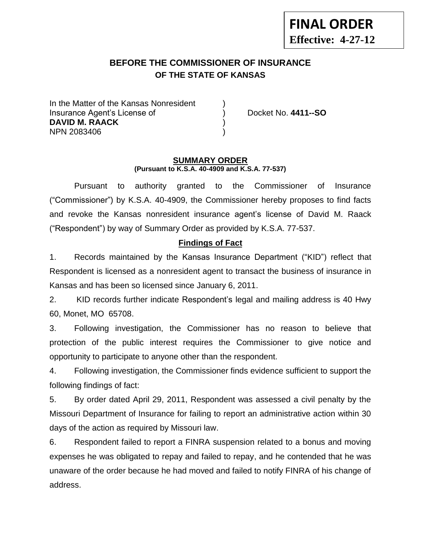# **BEFORE THE COMMISSIONER OF INSURANCE OF THE STATE OF KANSAS --12**

In the Matter of the Kansas Nonresident Insurance Agent's License of ) Docket No. **4411--SO DAVID M. RAACK** ) NPN 2083406 )

#### **SUMMARY ORDER (Pursuant to K.S.A. 40-4909 and K.S.A. 77-537)**

Pursuant to authority granted to the Commissioner of Insurance ("Commissioner") by K.S.A. 40-4909, the Commissioner hereby proposes to find facts and revoke the Kansas nonresident insurance agent's license of David M. Raack ("Respondent") by way of Summary Order as provided by K.S.A. 77-537.

## **Findings of Fact**

1. Records maintained by the Kansas Insurance Department ("KID") reflect that Respondent is licensed as a nonresident agent to transact the business of insurance in Kansas and has been so licensed since January 6, 2011.

2. KID records further indicate Respondent's legal and mailing address is 40 Hwy 60, Monet, MO 65708.

3. Following investigation, the Commissioner has no reason to believe that protection of the public interest requires the Commissioner to give notice and opportunity to participate to anyone other than the respondent.

4. Following investigation, the Commissioner finds evidence sufficient to support the following findings of fact:

5. By order dated April 29, 2011, Respondent was assessed a civil penalty by the Missouri Department of Insurance for failing to report an administrative action within 30 days of the action as required by Missouri law.

6. Respondent failed to report a FINRA suspension related to a bonus and moving expenses he was obligated to repay and failed to repay, and he contended that he was unaware of the order because he had moved and failed to notify FINRA of his change of address.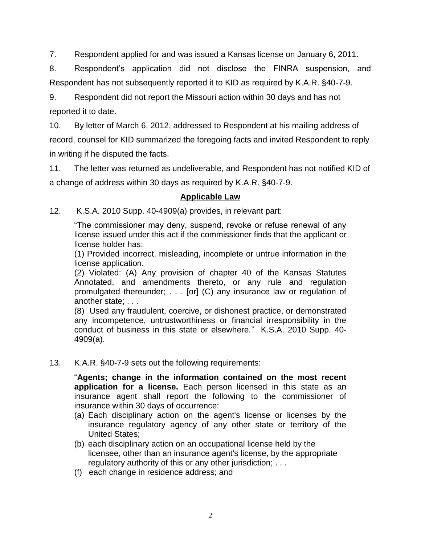7. Respondent applied for and was issued a Kansas license on January 6, 2011.

8. Respondent's application did not disclose the FINRA suspension, and Respondent has not subsequently reported it to KID as required by K.A.R. §40-7-9.

9. Respondent did not report the Missouri action within 30 days and has not reported it to date.

10. By letter of March 6, 2012, addressed to Respondent at his mailing address of record, counsel for KID summarized the foregoing facts and invited Respondent to reply in writing if he disputed the facts.

11. The letter was returned as undeliverable, and Respondent has not notified KID of a change of address within 30 days as required by K.A.R. §40-7-9.

## **Applicable Law**

12. K.S.A. 2010 Supp. 40-4909(a) provides, in relevant part:

"The commissioner may deny, suspend, revoke or refuse renewal of any license issued under this act if the commissioner finds that the applicant or license holder has:

(1) Provided incorrect, misleading, incomplete or untrue information in the license application.

(2) Violated: (A) Any provision of chapter 40 of the Kansas Statutes Annotated, and amendments thereto, or any rule and regulation promulgated thereunder; . . . [or] (C) any insurance law or regulation of another state; . . .

(8) Used any fraudulent, coercive, or dishonest practice, or demonstrated any incompetence, untrustworthiness or financial irresponsibility in the conduct of business in this state or elsewhere." K.S.A. 2010 Supp. 40- 4909(a).

13. K.A.R. §40-7-9 sets out the following requirements:

"**Agents; change in the information contained on the most recent application for a license.** Each person licensed in this state as an insurance agent shall report the following to the commissioner of insurance within 30 days of occurrence:

- (a) Each disciplinary action on the agent's license or licenses by the insurance regulatory agency of any other state or territory of the United States;
- (b) each disciplinary action on an occupational license held by the licensee, other than an insurance agent's license, by the appropriate regulatory authority of this or any other jurisdiction; . . .
- (f) each change in residence address; and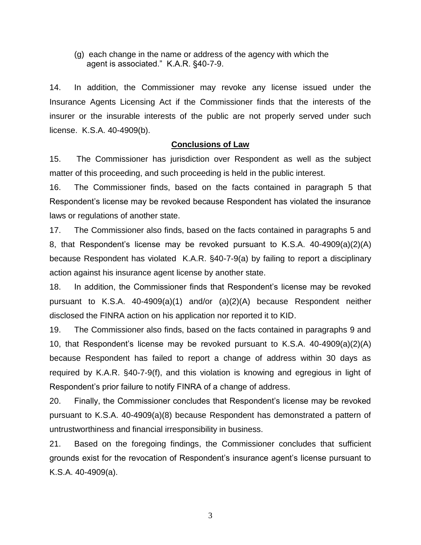(g) each change in the name or address of the agency with which the agent is associated." K.A.R. §40-7-9.

14. In addition, the Commissioner may revoke any license issued under the Insurance Agents Licensing Act if the Commissioner finds that the interests of the insurer or the insurable interests of the public are not properly served under such license. K.S.A. 40-4909(b).

### **Conclusions of Law**

15. The Commissioner has jurisdiction over Respondent as well as the subject matter of this proceeding, and such proceeding is held in the public interest.

16. The Commissioner finds, based on the facts contained in paragraph 5 that Respondent's license may be revoked because Respondent has violated the insurance laws or regulations of another state.

17. The Commissioner also finds, based on the facts contained in paragraphs 5 and 8, that Respondent's license may be revoked pursuant to K.S.A. 40-4909(a)(2)(A) because Respondent has violated K.A.R. §40-7-9(a) by failing to report a disciplinary action against his insurance agent license by another state.

18. In addition, the Commissioner finds that Respondent's license may be revoked pursuant to K.S.A. 40-4909(a)(1) and/or (a)(2)(A) because Respondent neither disclosed the FINRA action on his application nor reported it to KID.

19. The Commissioner also finds, based on the facts contained in paragraphs 9 and 10, that Respondent's license may be revoked pursuant to K.S.A. 40-4909(a)(2)(A) because Respondent has failed to report a change of address within 30 days as required by K.A.R. §40-7-9(f), and this violation is knowing and egregious in light of Respondent's prior failure to notify FINRA of a change of address.

20. Finally, the Commissioner concludes that Respondent's license may be revoked pursuant to K.S.A. 40-4909(a)(8) because Respondent has demonstrated a pattern of untrustworthiness and financial irresponsibility in business.

21. Based on the foregoing findings, the Commissioner concludes that sufficient grounds exist for the revocation of Respondent's insurance agent's license pursuant to K.S.A. 40-4909(a).

3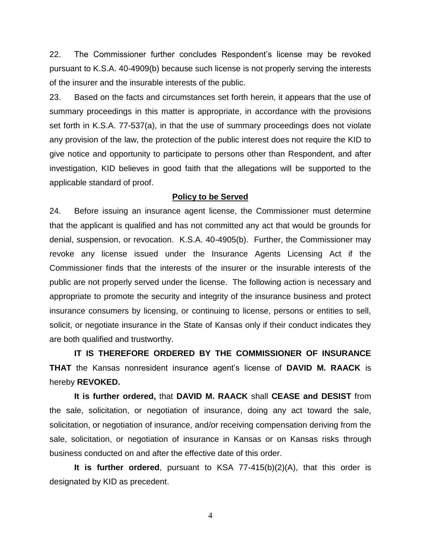22. The Commissioner further concludes Respondent's license may be revoked pursuant to K.S.A. 40-4909(b) because such license is not properly serving the interests of the insurer and the insurable interests of the public.

23. Based on the facts and circumstances set forth herein, it appears that the use of summary proceedings in this matter is appropriate, in accordance with the provisions set forth in K.S.A. 77-537(a), in that the use of summary proceedings does not violate any provision of the law, the protection of the public interest does not require the KID to give notice and opportunity to participate to persons other than Respondent, and after investigation, KID believes in good faith that the allegations will be supported to the applicable standard of proof.

#### **Policy to be Served**

24. Before issuing an insurance agent license, the Commissioner must determine that the applicant is qualified and has not committed any act that would be grounds for denial, suspension, or revocation. K.S.A. 40-4905(b). Further, the Commissioner may revoke any license issued under the Insurance Agents Licensing Act if the Commissioner finds that the interests of the insurer or the insurable interests of the public are not properly served under the license. The following action is necessary and appropriate to promote the security and integrity of the insurance business and protect insurance consumers by licensing, or continuing to license, persons or entities to sell, solicit, or negotiate insurance in the State of Kansas only if their conduct indicates they are both qualified and trustworthy.

**IT IS THEREFORE ORDERED BY THE COMMISSIONER OF INSURANCE THAT** the Kansas nonresident insurance agent's license of **DAVID M. RAACK** is hereby **REVOKED.** 

**It is further ordered,** that **DAVID M. RAACK** shall **CEASE and DESIST** from the sale, solicitation, or negotiation of insurance, doing any act toward the sale, solicitation, or negotiation of insurance, and/or receiving compensation deriving from the sale, solicitation, or negotiation of insurance in Kansas or on Kansas risks through business conducted on and after the effective date of this order.

**It is further ordered**, pursuant to KSA 77-415(b)(2)(A), that this order is designated by KID as precedent.

4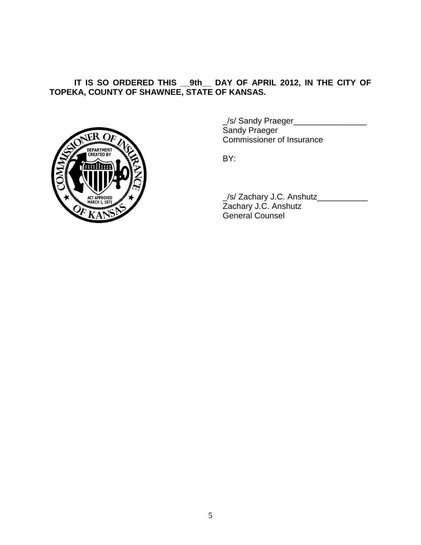## **IT IS SO ORDERED THIS \_\_9th\_\_ DAY OF APRIL 2012, IN THE CITY OF TOPEKA, COUNTY OF SHAWNEE, STATE OF KANSAS.**



\_/s/ Sandy Praeger\_\_\_\_\_\_\_\_\_\_\_\_\_\_\_\_ Sandy Praeger Commissioner of Insurance

BY:

\_/s/ Zachary J.C. Anshutz\_\_\_\_\_\_\_\_\_\_\_ Zachary J.C. Anshutz General Counsel